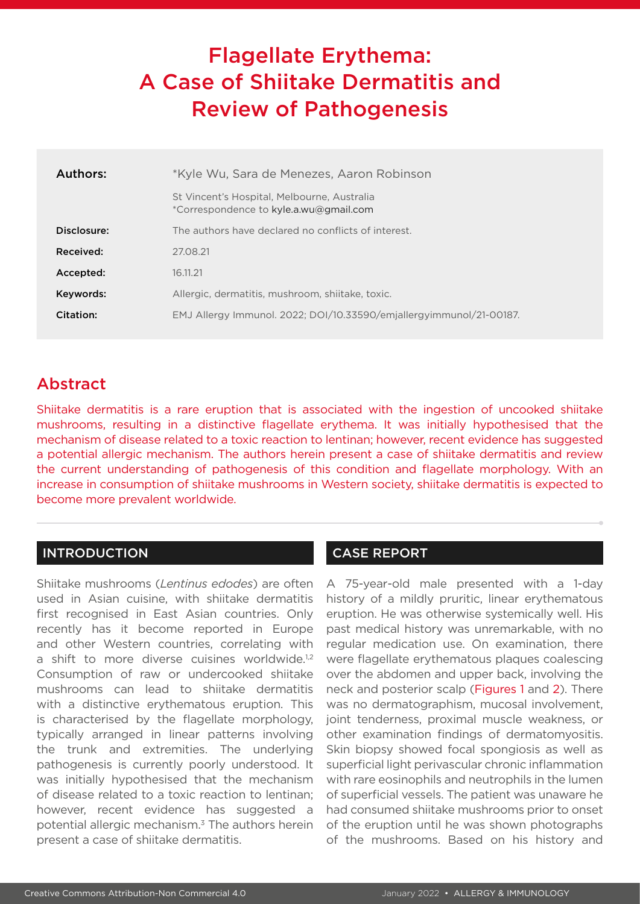# Flagellate Erythema: A Case of Shiitake Dermatitis and Review of Pathogenesis

| *Kyle Wu, Sara de Menezes, Aaron Robinson                                             |
|---------------------------------------------------------------------------------------|
| St Vincent's Hospital, Melbourne, Australia<br>*Correspondence to kyle.a.wu@gmail.com |
| The authors have declared no conflicts of interest.                                   |
| 27.08.21                                                                              |
| 16.11.21                                                                              |
| Allergic, dermatitis, mushroom, shiitake, toxic.                                      |
| EMJ Allergy Immunol. 2022; DOI/10.33590/emjallergyimmunol/21-00187.                   |
|                                                                                       |

## Abstract

Shiitake dermatitis is a rare eruption that is associated with the ingestion of uncooked shiitake mushrooms, resulting in a distinctive flagellate erythema. It was initially hypothesised that the mechanism of disease related to a toxic reaction to lentinan; however, recent evidence has suggested a potential allergic mechanism. The authors herein present a case of shiitake dermatitis and review the current understanding of pathogenesis of this condition and flagellate morphology. With an increase in consumption of shiitake mushrooms in Western society, shiitake dermatitis is expected to become more prevalent worldwide.

### INTRODUCTION

Shiitake mushrooms (*Lentinus edodes*) are often used in Asian cuisine, with shiitake dermatitis first recognised in East Asian countries. Only recently has it become reported in Europe and other Western countries, correlating with a shift to more diverse cuisines worldwide.<sup>1,2</sup> Consumption of raw or undercooked shiitake mushrooms can lead to shiitake dermatitis with a distinctive erythematous eruption. This is characterised by the flagellate morphology, typically arranged in linear patterns involving the trunk and extremities. The underlying pathogenesis is currently poorly understood. It was initially hypothesised that the mechanism of disease related to a toxic reaction to lentinan; however, recent evidence has suggested a potential allergic mechanism.3 The authors herein present a case of shiitake dermatitis.

## CASE REPORT

A 75-year-old male presented with a 1-day history of a mildly pruritic, linear erythematous eruption. He was otherwise systemically well. His past medical history was unremarkable, with no regular medication use. On examination, there were flagellate erythematous plaques coalescing over the abdomen and upper back, involving the neck and posterior scalp (Figures 1 and 2). There was no dermatographism, mucosal involvement, joint tenderness, proximal muscle weakness, or other examination findings of dermatomyositis. Skin biopsy showed focal spongiosis as well as superficial light perivascular chronic inflammation with rare eosinophils and neutrophils in the lumen of superficial vessels. The patient was unaware he had consumed shiitake mushrooms prior to onset of the eruption until he was shown photographs of the mushrooms. Based on his history and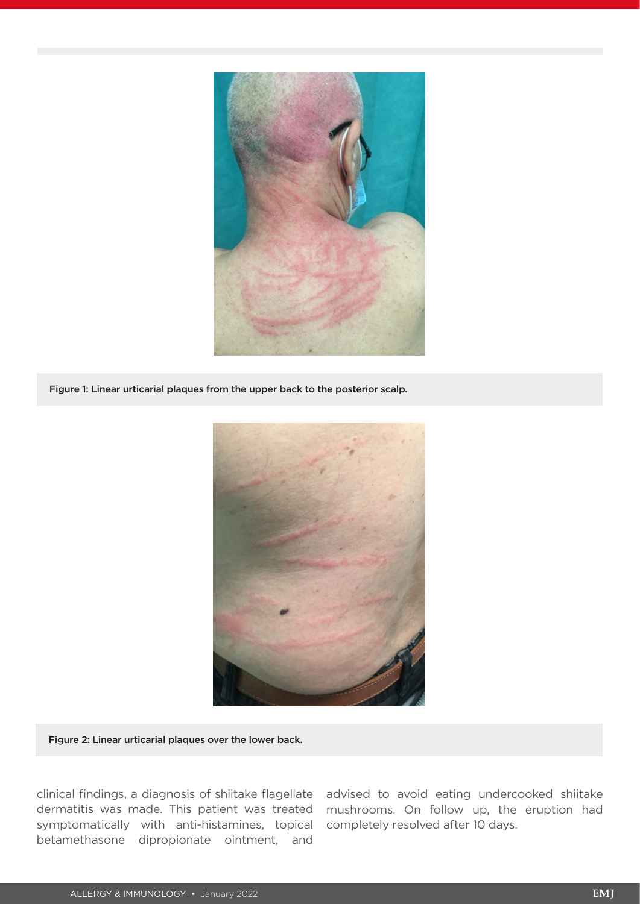

Figure 1: Linear urticarial plaques from the upper back to the posterior scalp.



Figure 2: Linear urticarial plaques over the lower back.

dermatitis was made. This patient was treated symptomatically with anti-histamines, topical completely resolved after 10 days. betamethasone dipropionate ointment, and

clinical findings, a diagnosis of shiitake flagellate advised to avoid eating undercooked shiitake mushrooms. On follow up, the eruption had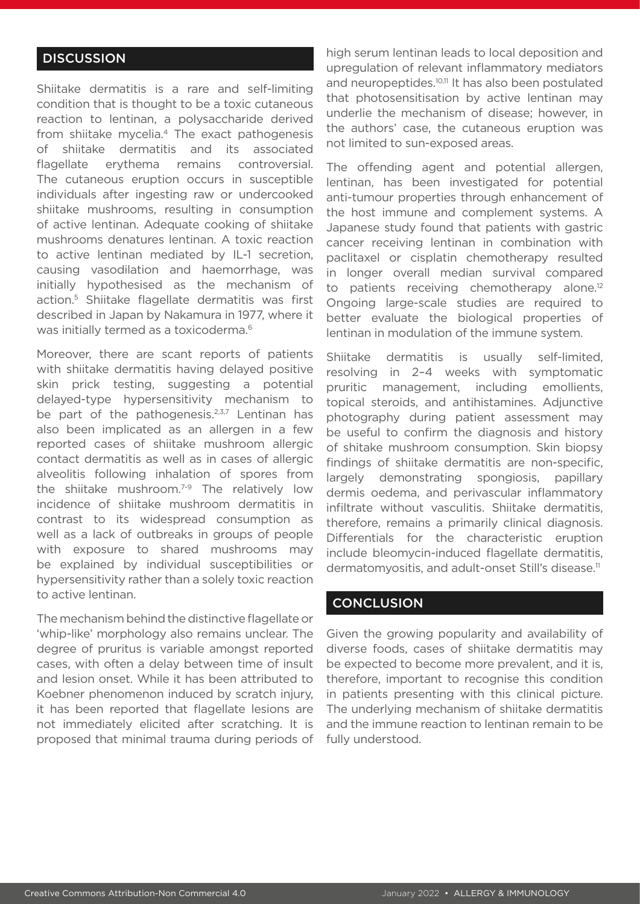#### **DISCUSSION**

Shiitake dermatitis is a rare and self-limiting condition that is thought to be a toxic cutaneous reaction to lentinan, a polysaccharide derived from shiitake mycelia.<sup>4</sup> The exact pathogenesis of shiitake dermatitis and its associated flagellate erythema remains controversial. The cutaneous eruption occurs in susceptible individuals after ingesting raw or undercooked shiitake mushrooms, resulting in consumption of active lentinan. Adequate cooking of shiitake mushrooms denatures lentinan. A toxic reaction to active lentinan mediated by IL-1 secretion, causing vasodilation and haemorrhage, was initially hypothesised as the mechanism of action.5 Shiitake flagellate dermatitis was first described in Japan by Nakamura in 1977, where it was initially termed as a toxicoderma.<sup>6</sup>

Moreover, there are scant reports of patients with shiitake dermatitis having delayed positive skin prick testing, suggesting a potential delayed-type hypersensitivity mechanism to be part of the pathogenesis.<sup>2,3,7</sup> Lentinan has also been implicated as an allergen in a few reported cases of shiitake mushroom allergic contact dermatitis as well as in cases of allergic alveolitis following inhalation of spores from the shiitake mushroom. $7-9$  The relatively low incidence of shiitake mushroom dermatitis in contrast to its widespread consumption as well as a lack of outbreaks in groups of people with exposure to shared mushrooms may be explained by individual susceptibilities or hypersensitivity rather than a solely toxic reaction to active lentinan.

The mechanism behind the distinctive flagellate or 'whip-like' morphology also remains unclear. The degree of pruritus is variable amongst reported cases, with often a delay between time of insult and lesion onset. While it has been attributed to Koebner phenomenon induced by scratch injury, it has been reported that flagellate lesions are not immediately elicited after scratching. It is proposed that minimal trauma during periods of high serum lentinan leads to local deposition and upregulation of relevant inflammatory mediators and neuropeptides.<sup>10,11</sup> It has also been postulated that photosensitisation by active lentinan may underlie the mechanism of disease; however, in the authors' case, the cutaneous eruption was not limited to sun-exposed areas.

The offending agent and potential allergen, lentinan, has been investigated for potential anti-tumour properties through enhancement of the host immune and complement systems. A Japanese study found that patients with gastric cancer receiving lentinan in combination with paclitaxel or cisplatin chemotherapy resulted in longer overall median survival compared to patients receiving chemotherapy alone.<sup>12</sup> Ongoing large-scale studies are required to better evaluate the biological properties of lentinan in modulation of the immune system.

Shiitake dermatitis is usually self-limited, resolving in 2–4 weeks with symptomatic pruritic management, including emollients, topical steroids, and antihistamines. Adjunctive photography during patient assessment may be useful to confirm the diagnosis and history of shitake mushroom consumption. Skin biopsy findings of shiitake dermatitis are non-specific, largely demonstrating spongiosis, papillary dermis oedema, and perivascular inflammatory infiltrate without vasculitis. Shiitake dermatitis, therefore, remains a primarily clinical diagnosis. Differentials for the characteristic eruption include bleomycin-induced flagellate dermatitis, dermatomyositis, and adult-onset Still's disease.11

#### **CONCLUSION**

Given the growing popularity and availability of diverse foods, cases of shiitake dermatitis may be expected to become more prevalent, and it is, therefore, important to recognise this condition in patients presenting with this clinical picture. The underlying mechanism of shiitake dermatitis and the immune reaction to lentinan remain to be fully understood.